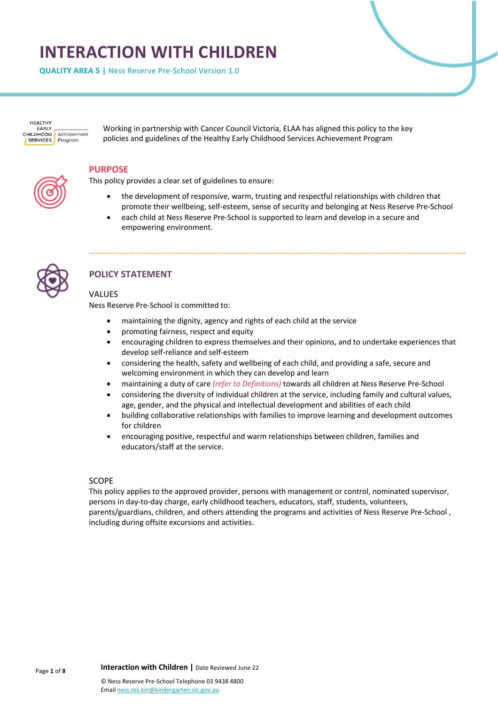# **INTERACTION WITH CHILDREN**

**QUALITY AREA 5 |** Ness Reserve Pre-School Version 1.0

HEALTHY **EADIV** CHILDHOOD Achievement **SERVICES** Program

Working in partnership with Cancer Council Victoria, ELAA has aligned this policy to the key policies and guidelines of the Healthy Early Childhood Services Achievement Program

#### **PURPOSE**

This policy provides a clear set of guidelines to ensure:

- the development of responsive, warm, trusting and respectful relationships with children that promote their wellbeing, self-esteem, sense of security and belonging at Ness Reserve Pre-School
- each child at Ness Reserve Pre-School is supported to learn and develop in a secure and empowering environment.



# **POLICY STATEMENT**

#### VALUES

Ness Reserve Pre-School is committed to:

- maintaining the dignity, agency and rights of each child at the service
- promoting fairness, respect and equity
- encouraging children to express themselves and their opinions, and to undertake experiences that develop self-reliance and self-esteem
- considering the health, safety and wellbeing of each child, and providing a safe, secure and welcoming environment in which they can develop and learn
- maintaining a duty of care *(refer to Definitions)* towards all children at Ness Reserve Pre-School
- considering the diversity of individual children at the service, including family and cultural values, age, gender, and the physical and intellectual development and abilities of each child
- building collaborative relationships with families to improve learning and development outcomes for children
- encouraging positive, respectful and warm relationships between children, families and educators/staff at the service.

#### SCOPE

This policy applies to the approved provider, persons with management or control, nominated supervisor, persons in day-to-day charge, early childhood teachers, educators, staff, students, volunteers, parents/guardians, children, and others attending the programs and activities of Ness Reserve Pre-School , including during offsite excursions and activities.

Email ness.res.kin@kindergarten.vic.gov.au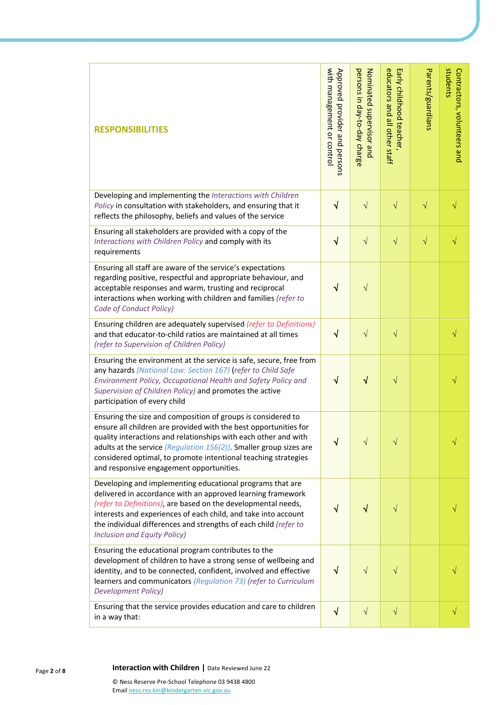| <b>RESPONSIBILITIES</b>                                                                                                                                                                                                                                                                                                                                                                    | with management or control<br>Approved provider and persons | persons in day-to-day charge<br>Nominated supervisor and | educators and all other staff<br>Early childhood teacher, | Parents/guardians | students<br>Contractors, volunteers and |
|--------------------------------------------------------------------------------------------------------------------------------------------------------------------------------------------------------------------------------------------------------------------------------------------------------------------------------------------------------------------------------------------|-------------------------------------------------------------|----------------------------------------------------------|-----------------------------------------------------------|-------------------|-----------------------------------------|
| Developing and implementing the Interactions with Children<br>Policy in consultation with stakeholders, and ensuring that it<br>reflects the philosophy, beliefs and values of the service                                                                                                                                                                                                 | $\sqrt{ }$                                                  | $\sqrt{}$                                                | $\sqrt{}$                                                 | $\sqrt{}$         |                                         |
| Ensuring all stakeholders are provided with a copy of the<br>Interactions with Children Policy and comply with its<br>requirements                                                                                                                                                                                                                                                         | $\sqrt{ }$                                                  | $\sqrt{}$                                                | $\sqrt{}$                                                 | $\sqrt{}$         |                                         |
| Ensuring all staff are aware of the service's expectations<br>regarding positive, respectful and appropriate behaviour, and<br>acceptable responses and warm, trusting and reciprocal<br>interactions when working with children and families (refer to<br>Code of Conduct Policy)                                                                                                         | $\sqrt{ }$                                                  | $\sqrt{}$                                                |                                                           |                   |                                         |
| Ensuring children are adequately supervised (refer to Definitions)<br>and that educator-to-child ratios are maintained at all times<br>(refer to Supervision of Children Policy)                                                                                                                                                                                                           | $\sqrt{ }$                                                  | $\sqrt{}$                                                | $\sqrt{}$                                                 |                   | $\sqrt{}$                               |
| Ensuring the environment at the service is safe, secure, free from<br>any hazards (National Law: Section 167) (refer to Child Safe<br>Environment Policy, Occupational Health and Safety Policy and<br>Supervision of Children Policy) and promotes the active<br>participation of every child                                                                                             | $\sqrt{ }$                                                  | $\sqrt{}$                                                | $\sqrt{}$                                                 |                   |                                         |
| Ensuring the size and composition of groups is considered to<br>ensure all children are provided with the best opportunities for<br>quality interactions and relationships with each other and with<br>adults at the service (Regulation $156(2)$ ). Smaller group sizes are<br>considered optimal, to promote intentional teaching strategies<br>and responsive engagement opportunities. | N                                                           | V                                                        | $\sqrt{}$                                                 |                   |                                         |
| Developing and implementing educational programs that are<br>delivered in accordance with an approved learning framework<br>(refer to Definitions), are based on the developmental needs,<br>interests and experiences of each child, and take into account<br>the individual differences and strengths of each child (refer to<br><b>Inclusion and Equity Policy)</b>                     | √                                                           | $\sqrt{}$                                                | V                                                         |                   |                                         |
| Ensuring the educational program contributes to the<br>development of children to have a strong sense of wellbeing and<br>identity, and to be connected, confident, involved and effective<br>learners and communicators (Regulation 73) (refer to Curriculum<br><b>Development Policy)</b>                                                                                                | $\sqrt{ }$                                                  | $\sqrt{}$                                                | $\sqrt{}$                                                 |                   |                                         |
| Ensuring that the service provides education and care to children<br>in a way that:                                                                                                                                                                                                                                                                                                        | $\sqrt{ }$                                                  | $\sqrt{}$                                                | $\sqrt{}$                                                 |                   | $\sqrt{}$                               |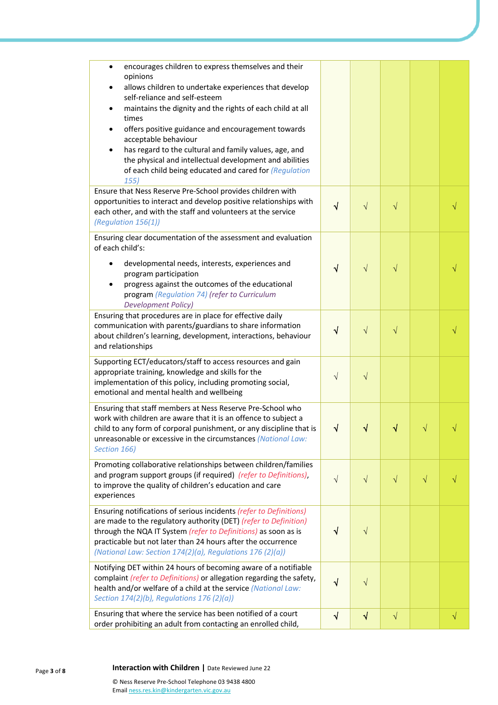| encourages children to express themselves and their<br>$\bullet$<br>opinions                                                           |            |            |           |           |           |
|----------------------------------------------------------------------------------------------------------------------------------------|------------|------------|-----------|-----------|-----------|
| allows children to undertake experiences that develop<br>self-reliance and self-esteem                                                 |            |            |           |           |           |
| maintains the dignity and the rights of each child at all<br>٠                                                                         |            |            |           |           |           |
| times<br>offers positive guidance and encouragement towards<br>$\bullet$                                                               |            |            |           |           |           |
| acceptable behaviour                                                                                                                   |            |            |           |           |           |
| has regard to the cultural and family values, age, and                                                                                 |            |            |           |           |           |
| the physical and intellectual development and abilities<br>of each child being educated and cared for (Regulation                      |            |            |           |           |           |
| 155)                                                                                                                                   |            |            |           |           |           |
| Ensure that Ness Reserve Pre-School provides children with                                                                             |            |            |           |           |           |
| opportunities to interact and develop positive relationships with<br>each other, and with the staff and volunteers at the service      | $\sqrt{ }$ | $\sqrt{}$  | $\sqrt{}$ |           |           |
| (Regulation 156(1))                                                                                                                    |            |            |           |           |           |
| Ensuring clear documentation of the assessment and evaluation                                                                          |            |            |           |           |           |
| of each child's:                                                                                                                       |            |            |           |           |           |
| developmental needs, interests, experiences and                                                                                        | $\sqrt{}$  | $\sqrt{}$  | $\sqrt{}$ |           |           |
| program participation<br>progress against the outcomes of the educational                                                              |            |            |           |           |           |
| program (Regulation 74) (refer to Curriculum                                                                                           |            |            |           |           |           |
| <b>Development Policy)</b>                                                                                                             |            |            |           |           |           |
| Ensuring that procedures are in place for effective daily<br>communication with parents/guardians to share information                 |            |            |           |           |           |
| about children's learning, development, interactions, behaviour                                                                        | √          | $\sqrt{}$  | $\sqrt{}$ |           |           |
| and relationships                                                                                                                      |            |            |           |           |           |
| Supporting ECT/educators/staff to access resources and gain                                                                            |            |            |           |           |           |
| appropriate training, knowledge and skills for the<br>implementation of this policy, including promoting social,                       | $\sqrt{}$  | $\sqrt{}$  |           |           |           |
| emotional and mental health and wellbeing                                                                                              |            |            |           |           |           |
| Ensuring that staff members at Ness Reserve Pre-School who                                                                             |            |            |           |           |           |
| work with children are aware that it is an offence to subject a                                                                        |            |            |           |           |           |
| child to any form of corporal punishment, or any discipline that is                                                                    | √          |            |           |           |           |
| unreasonable or excessive in the circumstances (National Law:<br>Section 166)                                                          |            |            |           |           |           |
| Promoting collaborative relationships between children/families                                                                        |            |            |           |           |           |
| and program support groups (if required) (refer to Definitions),                                                                       | $\sqrt{ }$ | $\sqrt{}$  | $\sqrt{}$ | $\sqrt{}$ |           |
| to improve the quality of children's education and care                                                                                |            |            |           |           |           |
| experiences                                                                                                                            |            |            |           |           |           |
| Ensuring notifications of serious incidents (refer to Definitions)<br>are made to the regulatory authority (DET) (refer to Definition) |            |            |           |           |           |
| through the NQA IT System (refer to Definitions) as soon as is                                                                         | √          | V          |           |           |           |
| practicable but not later than 24 hours after the occurrence                                                                           |            |            |           |           |           |
| (National Law: Section 174(2)(a), Regulations 176 (2)(a))                                                                              |            |            |           |           |           |
| Notifying DET within 24 hours of becoming aware of a notifiable                                                                        |            |            |           |           |           |
| complaint (refer to Definitions) or allegation regarding the safety,<br>health and/or welfare of a child at the service (National Law: | $\sqrt{}$  | $\sqrt{}$  |           |           |           |
| Section 174(2)(b), Regulations 176 (2)(a))                                                                                             |            |            |           |           |           |
| Ensuring that where the service has been notified of a court                                                                           | $\sqrt{ }$ | $\sqrt{ }$ | $\sqrt{}$ |           | $\sqrt{}$ |
| order prohibiting an adult from contacting an enrolled child,                                                                          |            |            |           |           |           |

### **<sup>8</sup> Interaction with Children |** Date Reviewed June 22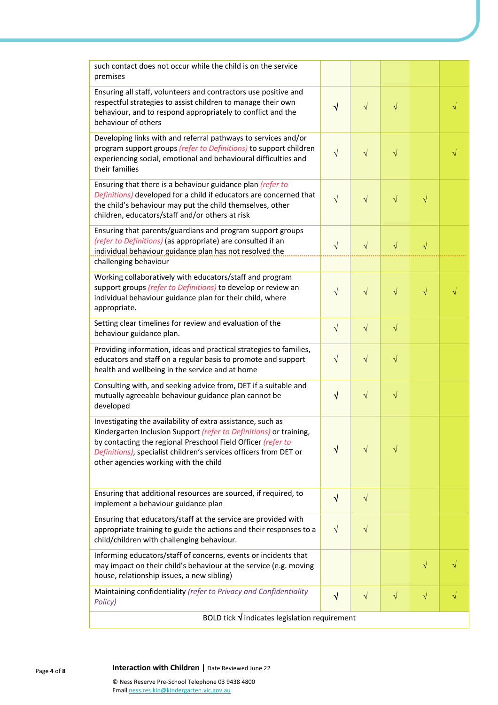| such contact does not occur while the child is on the service<br>premises                                                                                                                                                                                                                                       |            |            |            |           |   |
|-----------------------------------------------------------------------------------------------------------------------------------------------------------------------------------------------------------------------------------------------------------------------------------------------------------------|------------|------------|------------|-----------|---|
| Ensuring all staff, volunteers and contractors use positive and<br>respectful strategies to assist children to manage their own<br>behaviour, and to respond appropriately to conflict and the<br>behaviour of others                                                                                           | $\sqrt{ }$ | $\sqrt{}$  | $\sqrt{}$  |           | V |
| Developing links with and referral pathways to services and/or<br>program support groups (refer to Definitions) to support children<br>experiencing social, emotional and behavioural difficulties and<br>their families                                                                                        | $\sqrt{}$  | $\sqrt{}$  | $\sqrt{}$  |           |   |
| Ensuring that there is a behaviour guidance plan (refer to<br>Definitions) developed for a child if educators are concerned that<br>the child's behaviour may put the child themselves, other<br>children, educators/staff and/or others at risk                                                                | $\sqrt{}$  | $\sqrt{}$  | $\sqrt{}$  | $\sqrt{}$ |   |
| Ensuring that parents/guardians and program support groups<br>(refer to Definitions) (as appropriate) are consulted if an<br>individual behaviour guidance plan has not resolved the<br>challenging behaviour                                                                                                   | $\sqrt{}$  | $\sqrt{}$  | $\sqrt{}$  | $\sqrt{}$ |   |
| Working collaboratively with educators/staff and program<br>support groups (refer to Definitions) to develop or review an<br>individual behaviour guidance plan for their child, where<br>appropriate.                                                                                                          | $\sqrt{}$  | $\sqrt{}$  | $\sqrt{}$  | $\sqrt{}$ |   |
| Setting clear timelines for review and evaluation of the<br>behaviour guidance plan.                                                                                                                                                                                                                            | $\sqrt{ }$ | $\sqrt{ }$ | $\sqrt{}$  |           |   |
| Providing information, ideas and practical strategies to families,<br>educators and staff on a regular basis to promote and support<br>health and wellbeing in the service and at home                                                                                                                          | $\sqrt{ }$ | $\sqrt{}$  | $\sqrt{}$  |           |   |
| Consulting with, and seeking advice from, DET if a suitable and<br>mutually agreeable behaviour guidance plan cannot be<br>developed                                                                                                                                                                            | $\sqrt{}$  | $\sqrt{ }$ | $\sqrt{ }$ |           |   |
| Investigating the availability of extra assistance, such as<br>Kindergarten Inclusion Support (refer to Definitions) or training,<br>by contacting the regional Preschool Field Officer (refer to<br>Definitions), specialist children's services officers from DET or<br>other agencies working with the child | √          | $\sqrt{}$  | V          |           |   |
| Ensuring that additional resources are sourced, if required, to<br>implement a behaviour guidance plan                                                                                                                                                                                                          | √          | $\sqrt{ }$ |            |           |   |
| Ensuring that educators/staff at the service are provided with<br>appropriate training to guide the actions and their responses to a<br>child/children with challenging behaviour.                                                                                                                              | $\sqrt{ }$ | $\sqrt{ }$ |            |           |   |
| Informing educators/staff of concerns, events or incidents that<br>may impact on their child's behaviour at the service (e.g. moving<br>house, relationship issues, a new sibling)                                                                                                                              |            |            |            | $\sqrt{}$ |   |
| Maintaining confidentiality (refer to Privacy and Confidentiality<br>Policy)                                                                                                                                                                                                                                    | $\sqrt{}$  | $\sqrt{ }$ | $\sqrt{}$  | $\sqrt{}$ |   |
| BOLD tick $\sqrt{}$ indicates legislation requirement                                                                                                                                                                                                                                                           |            |            |            |           |   |

# Page **<sup>4</sup>** of **<sup>8</sup> Interaction with Children |** Date Reviewed June 22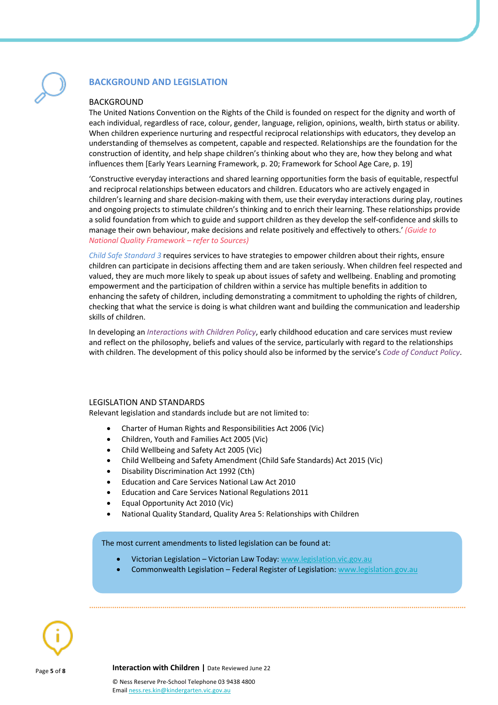## **BACKGROUND AND LEGISLATION**

#### **BACKGROUND**

The United Nations Convention on the Rights of the Child is founded on respect for the dignity and worth of each individual, regardless of race, colour, gender, language, religion, opinions, wealth, birth status or ability. When children experience nurturing and respectful reciprocal relationships with educators, they develop an understanding of themselves as competent, capable and respected. Relationships are the foundation for the construction of identity, and help shape children's thinking about who they are, how they belong and what influences them [Early Years Learning Framework, p. 20; Framework for School Age Care, p. 19]

'Constructive everyday interactions and shared learning opportunities form the basis of equitable, respectful and reciprocal relationships between educators and children. Educators who are actively engaged in children's learning and share decision-making with them, use their everyday interactions during play, routines and ongoing projects to stimulate children's thinking and to enrich their learning. These relationships provide a solid foundation from which to guide and support children as they develop the self-confidence and skills to manage their own behaviour, make decisions and relate positively and effectively to others.' *(Guide to National Quality Framework – refer to Sources)*

*Child Safe Standard 3* requires services to have strategies to empower children about their rights, ensure children can participate in decisions affecting them and are taken seriously. When children feel respected and valued, they are much more likely to speak up about issues of safety and wellbeing. Enabling and promoting empowerment and the participation of children within a service has multiple benefits in addition to enhancing the safety of children, including demonstrating a commitment to upholding the rights of children, checking that what the service is doing is what children want and building the communication and leadership skills of children.

In developing an *Interactions with Children Policy*, early childhood education and care services must review and reflect on the philosophy, beliefs and values of the service, particularly with regard to the relationships with children. The development of this policy should also be informed by the service's *Code of Conduct Policy*.

#### LEGISLATION AND STANDARDS

Relevant legislation and standards include but are not limited to:

- Charter of Human Rights and Responsibilities Act 2006 (Vic)
- Children, Youth and Families Act 2005 (Vic)
- Child Wellbeing and Safety Act 2005 (Vic)
- Child Wellbeing and Safety Amendment (Child Safe Standards) Act 2015 (Vic)
- Disability Discrimination Act 1992 (Cth)
- Education and Care Services National Law Act 2010
- Education and Care Services National Regulations 2011
- Equal Opportunity Act 2010 (Vic)
- National Quality Standard, Quality Area 5: Relationships with Children

The most current amendments to listed legislation can be found at:

- Victorian Legislation Victorian Law Today: www.legislation.vic.gov.au
- Commonwealth Legislation Federal Register of Legislation: www.legislation.gov.au



Page **<sup>5</sup>** of **<sup>8</sup> Interaction with Children |** Date Reviewed June 22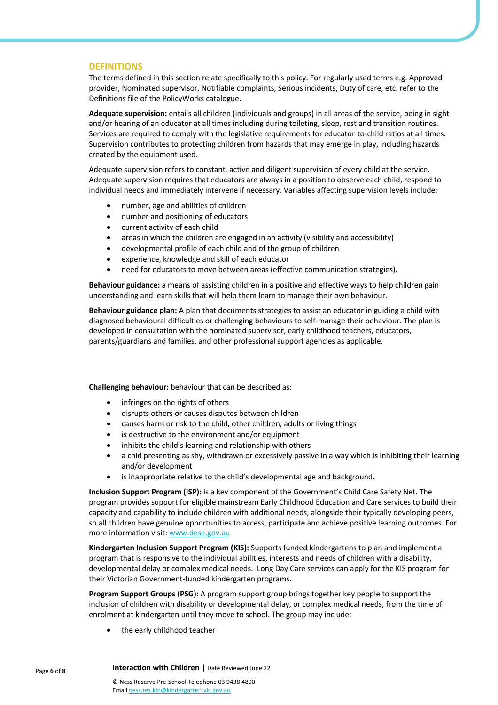#### **DEFINITIONS**

The terms defined in this section relate specifically to this policy. For regularly used terms e.g. Approved provider, Nominated supervisor, Notifiable complaints, Serious incidents, Duty of care, etc. refer to the Definitions file of the PolicyWorks catalogue.

**Adequate supervision:** entails all children (individuals and groups) in all areas of the service, being in sight and/or hearing of an educator at all times including during toileting, sleep, rest and transition routines. Services are required to comply with the legislative requirements for educator-to-child ratios at all times. Supervision contributes to protecting children from hazards that may emerge in play, including hazards created by the equipment used.

Adequate supervision refers to constant, active and diligent supervision of every child at the service. Adequate supervision requires that educators are always in a position to observe each child, respond to individual needs and immediately intervene if necessary. Variables affecting supervision levels include:

- number, age and abilities of children
- number and positioning of educators
- current activity of each child
- areas in which the children are engaged in an activity (visibility and accessibility)
- developmental profile of each child and of the group of children
- experience, knowledge and skill of each educator
- need for educators to move between areas (effective communication strategies).

**Behaviour guidance:** a means of assisting children in a positive and effective ways to help children gain understanding and learn skills that will help them learn to manage their own behaviour.

**Behaviour guidance plan:** A plan that documents strategies to assist an educator in guiding a child with diagnosed behavioural difficulties or challenging behaviours to self-manage their behaviour. The plan is developed in consultation with the nominated supervisor, early childhood teachers, educators, parents/guardians and families, and other professional support agencies as applicable.

**Challenging behaviour:** behaviour that can be described as:

- infringes on the rights of others
- disrupts others or causes disputes between children
- causes harm or risk to the child, other children, adults or living things
- is destructive to the environment and/or equipment
- inhibits the child's learning and relationship with others
- a chid presenting as shy, withdrawn or excessively passive in a way which is inhibiting their learning and/or development
- is inappropriate relative to the child's developmental age and background.

**Inclusion Support Program (ISP):** is a key component of the Government's Child Care Safety Net. The program provides support for eligible mainstream Early Childhood Education and Care services to build their capacity and capability to include children with additional needs, alongside their typically developing peers, so all children have genuine opportunities to access, participate and achieve positive learning outcomes. For more information visit: www.dese.gov.au

**Kindergarten Inclusion Support Program (KIS):** Supports funded kindergartens to plan and implement a program that is responsive to the individual abilities, interests and needs of children with a disability, developmental delay or complex medical needs.Long Day Care services can apply for the KIS program for their Victorian Government-funded kindergarten programs.

**Program Support Groups (PSG):** A program support group brings together key people to support the inclusion of children with disability or developmental delay, or complex medical needs, from the time of enrolment at kindergarten until they move to school. The group may include:

the early childhood teacher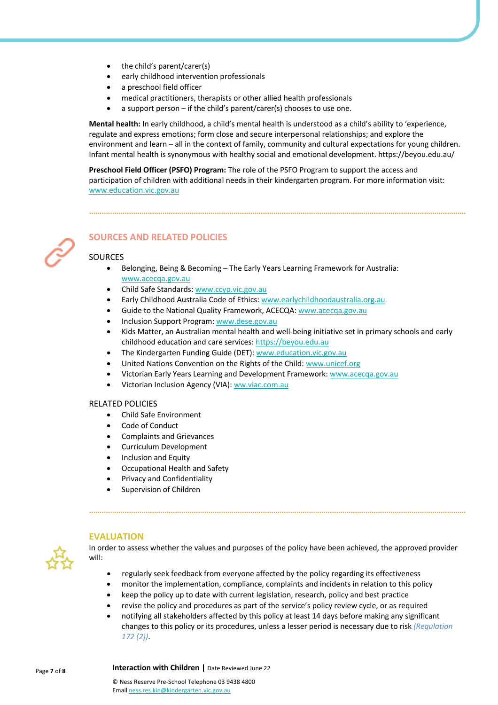- the child's parent/carer(s)
- early childhood intervention professionals
- a preschool field officer
- medical practitioners, therapists or other allied health professionals
- a support person if the child's parent/carer(s) chooses to use one.

**Mental health:** In early childhood, a child's mental health is understood as a child's ability to 'experience, regulate and express emotions; form close and secure interpersonal relationships; and explore the environment and learn – all in the context of family, community and cultural expectations for young children. Infant mental health is synonymous with healthy social and emotional development. https://beyou.edu.au/

**Preschool Field Officer (PSFO) Program:** The role of the PSFO Program to support the access and participation of children with additional needs in their kindergarten program. For more information visit: www.education.vic.gov.au



# **SOURCES AND RELATED POLICIES**

#### SOURCES

- Belonging, Being & Becoming The Early Years Learning Framework for Australia: www.acecqa.gov.au
- Child Safe Standards: www.ccyp.vic.gov.au
- Early Childhood Australia Code of Ethics: www.earlychildhoodaustralia.org.au
- Guide to the National Quality Framework, ACECQA: www.acecqa.gov.au
- Inclusion Support Program: www.dese.gov.au
- Kids Matter, an Australian mental health and well-being initiative set in primary schools and early childhood education and care services: https://beyou.edu.au
- The Kindergarten Funding Guide (DET): www.education.vic.gov.au
- United Nations Convention on the Rights of the Child: www.unicef.org
- Victorian Early Years Learning and Development Framework: www.acecqa.gov.au
- Victorian Inclusion Agency (VIA): ww.viac.com.au

#### RELATED POLICIES

- Child Safe Environment
- Code of Conduct
- Complaints and Grievances
- Curriculum Development
- Inclusion and Equity
- Occupational Health and Safety
- Privacy and Confidentiality
- Supervision of Children



#### **EVALUATION**

In order to assess whether the values and purposes of the policy have been achieved, the approved provider will:

- regularly seek feedback from everyone affected by the policy regarding its effectiveness
- monitor the implementation, compliance, complaints and incidents in relation to this policy
- keep the policy up to date with current legislation, research, policy and best practice
- revise the policy and procedures as part of the service's policy review cycle, or as required
- notifying all stakeholders affected by this policy at least 14 days before making any significant changes to this policy or its procedures, unless a lesser period is necessary due to risk *(Regulation 172 (2))*.

Page **<sup>7</sup>** of **<sup>8</sup> Interaction with Children |** Date Reviewed June 22

© Ness Reserve Pre-School Telephone 03 9438 4800 Email ness.res.kin@kindergarten.vic.gov.au